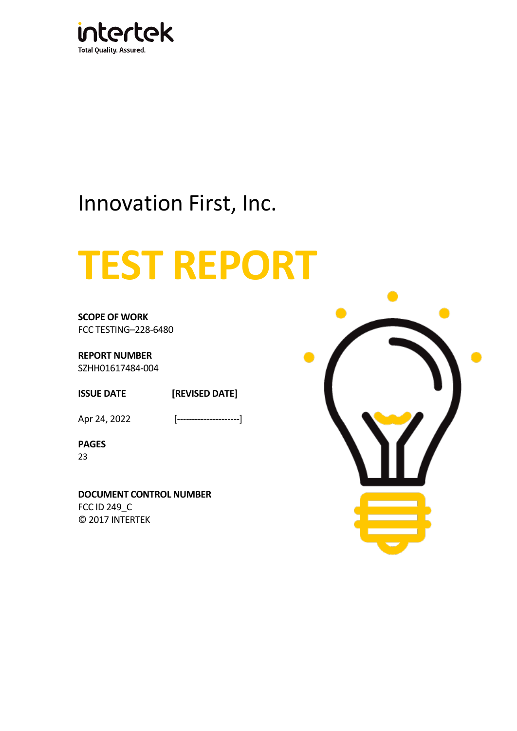

# Innovation First, Inc.

# **TEST REPORT**

**SCOPE OF WORK** FCC TESTING–228-6480

**REPORT NUMBER** SZHH01617484-004

**ISSUE DATE [REVISED DATE]**

Apr 24, 2022 [--------------------]

**PAGES** 23

**DOCUMENT CONTROL NUMBER** FCC ID 249\_C © 2017 INTERTEK

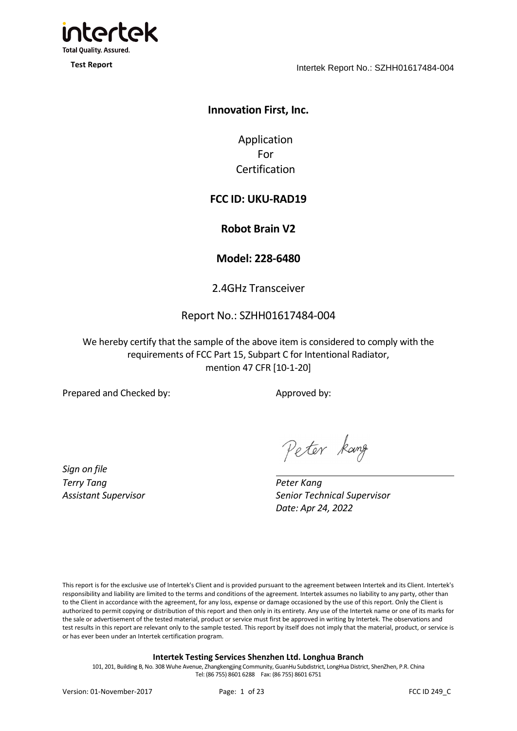

**Test Report**

Intertek Report No.: SZHH01617484-004

# **Innovation First, Inc.**

Application For Certification

# **FCC ID: UKU-RAD19**

**Robot Brain V2**

**Model: 228-6480**

2.4GHz Transceiver

# Report No.: SZHH01617484-004

We hereby certify that the sample of the above item is considered to comply with the requirements of FCC Part 15, Subpart C for Intentional Radiator, mention 47 CFR [10-1-20]

Prepared and Checked by: Approved by:

*Sign on file Terry Tang Assistant Supervisor*

Peter kang

*Peter Kang Senior Technical Supervisor Date: Apr 24, 2022*

This report is for the exclusive use of Intertek's Client and is provided pursuant to the agreement between Intertek and its Client. Intertek's responsibility and liability are limited to the terms and conditions of the agreement. Intertek assumes no liability to any party, other than to the Client in accordance with the agreement, for any loss, expense or damage occasioned by the use of this report. Only the Client is authorized to permit copying or distribution of this report and then only in its entirety. Any use of the Intertek name or one of its marks for the sale or advertisement of the tested material, product or service must first be approved in writing by Intertek. The observations and test results in this report are relevant only to the sample tested. This report by itself does not imply that the material, product, or service is or has ever been under an Intertek certification program.

#### **Intertek Testing Services Shenzhen Ltd. Longhua Branch**

101, 201, Building B, No. 308 Wuhe Avenue, Zhangkengjing Community, GuanHu Subdistrict, LongHua District, ShenZhen, P.R. China Tel: (86 755) 8601 6288 Fax: (86 755) 8601 6751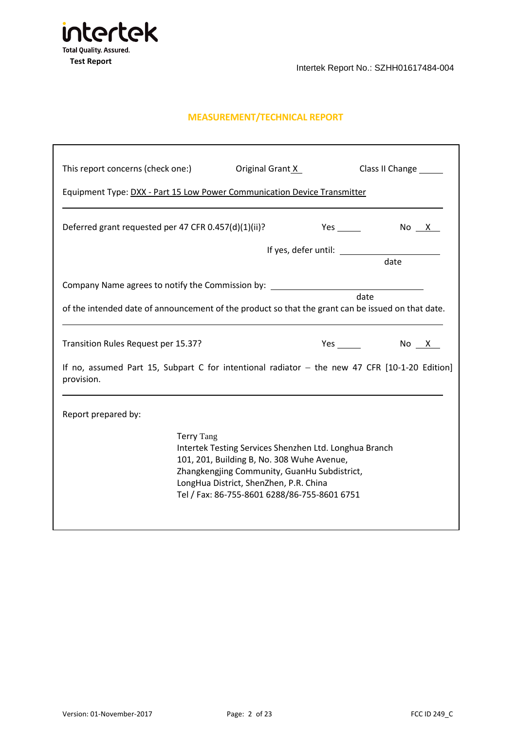

# **MEASUREMENT/TECHNICAL REPORT**

| This report concerns (check one:)                                                                           |                   | Original Grant X                                                                                                                                                                                                                               |            | Class II Change |
|-------------------------------------------------------------------------------------------------------------|-------------------|------------------------------------------------------------------------------------------------------------------------------------------------------------------------------------------------------------------------------------------------|------------|-----------------|
| Equipment Type: DXX - Part 15 Low Power Communication Device Transmitter                                    |                   |                                                                                                                                                                                                                                                |            |                 |
| Deferred grant requested per 47 CFR 0.457(d)(1)(ii)?                                                        |                   |                                                                                                                                                                                                                                                | <b>Yes</b> | No X            |
|                                                                                                             |                   |                                                                                                                                                                                                                                                |            | date            |
| Company Name agrees to notify the Commission by: _______________________________                            |                   |                                                                                                                                                                                                                                                |            |                 |
| of the intended date of announcement of the product so that the grant can be issued on that date.           |                   |                                                                                                                                                                                                                                                |            | date            |
| Transition Rules Request per 15.37?                                                                         |                   |                                                                                                                                                                                                                                                |            | $Yes$ No $X$    |
| If no, assumed Part 15, Subpart C for intentional radiator - the new 47 CFR [10-1-20 Edition]<br>provision. |                   |                                                                                                                                                                                                                                                |            |                 |
| Report prepared by:                                                                                         |                   |                                                                                                                                                                                                                                                |            |                 |
|                                                                                                             | <b>Terry Tang</b> | Intertek Testing Services Shenzhen Ltd. Longhua Branch<br>101, 201, Building B, No. 308 Wuhe Avenue,<br>Zhangkengjing Community, GuanHu Subdistrict,<br>LongHua District, ShenZhen, P.R. China<br>Tel / Fax: 86-755-8601 6288/86-755-8601 6751 |            |                 |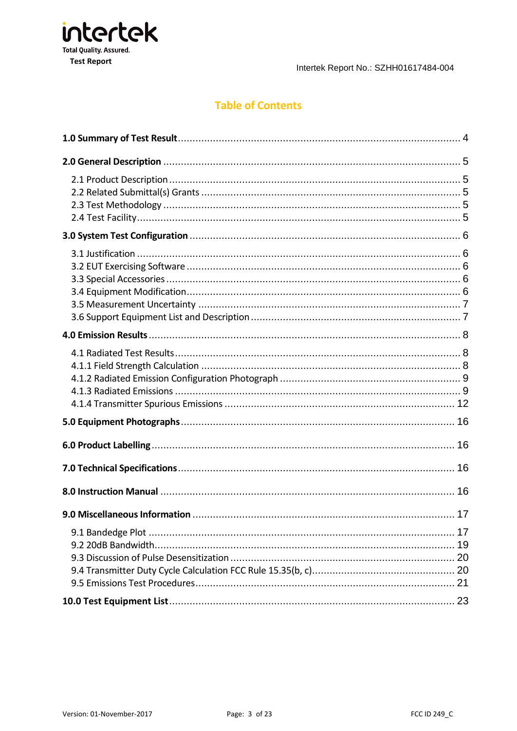

# **Table of Contents**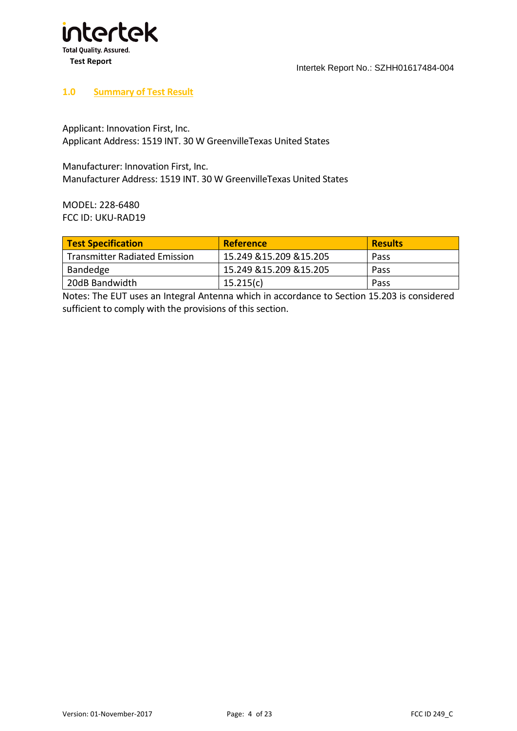

#### <span id="page-4-0"></span>**1.0 Summary of Test Result**

Applicant: Innovation First, Inc. Applicant Address: 1519 INT. 30 W GreenvilleTexas United States

Manufacturer: Innovation First, Inc. Manufacturer Address: 1519 INT. 30 W GreenvilleTexas United States

MODEL: 228-6480 FCC ID: UKU-RAD19

| <b>Test Specification</b>            | <b>Reference</b>         | <b>Results</b> |
|--------------------------------------|--------------------------|----------------|
| <b>Transmitter Radiated Emission</b> | 15.249 & 15.209 & 15.205 | Pass           |
| Bandedge                             | 15.249 & 15.209 & 15.205 | Pass           |
| 20dB Bandwidth                       | 15.215(c)                | Pass           |

Notes: The EUT uses an Integral Antenna which in accordance to Section 15.203 is considered sufficient to comply with the provisions of this section.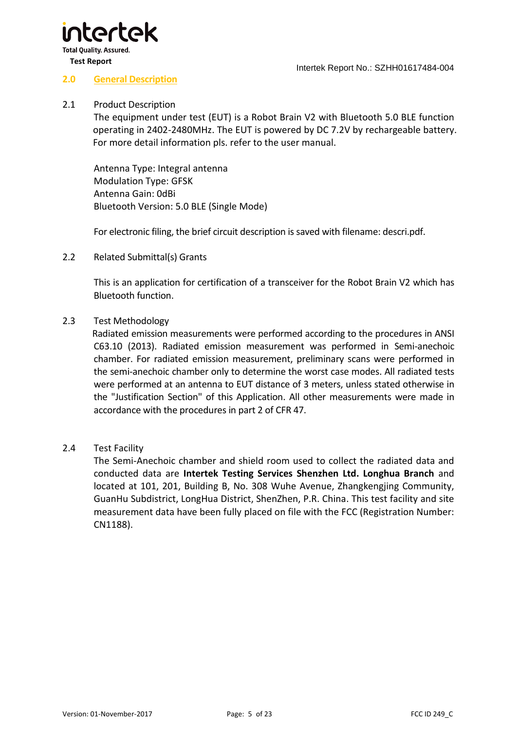

#### **2.0 General Description**

#### 2.1 Product Description

<span id="page-5-1"></span><span id="page-5-0"></span>The equipment under test (EUT) is a Robot Brain V2 with Bluetooth 5.0 BLE function operating in 2402-2480MHz. The EUT is powered by DC 7.2V by rechargeable battery. For more detail information pls. refer to the user manual.

 Antenna Type: Integral antenna Modulation Type: GFSK Antenna Gain: 0dBi Bluetooth Version: 5.0 BLE (Single Mode)

<span id="page-5-2"></span>For electronic filing, the brief circuit description is saved with filename: descri.pdf.

2.2 Related Submittal(s) Grants

This is an application for certification of a transceiver for the Robot Brain V2 which has Bluetooth function.

#### 2.3 Test Methodology

<span id="page-5-3"></span>Radiated emission measurements were performed according to the procedures in ANSI C63.10 (2013). Radiated emission measurement was performed in Semi-anechoic chamber. For radiated emission measurement, preliminary scans were performed in the semi-anechoic chamber only to determine the worst case modes. All radiated tests were performed at an antenna to EUT distance of 3 meters, unless stated otherwise in the "Justification Section" of this Application. All other measurements were made in accordance with the procedures in part 2 of CFR 47.

#### 2.4 Test Facility

<span id="page-5-4"></span>The Semi-Anechoic chamber and shield room used to collect the radiated data and conducted data are **Intertek Testing Services Shenzhen Ltd. Longhua Branch** and located at 101, 201, Building B, No. 308 Wuhe Avenue, Zhangkengjing Community, GuanHu Subdistrict, LongHua District, ShenZhen, P.R. China. This test facility and site measurement data have been fully placed on file with the FCC (Registration Number: CN1188).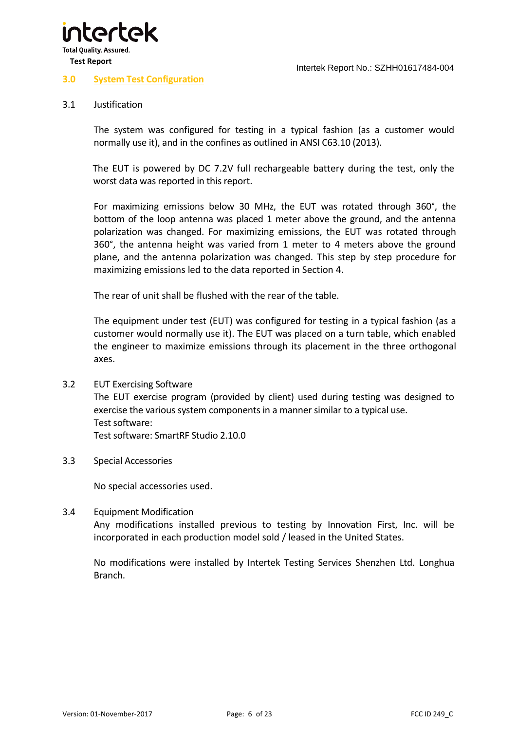

#### **3.0 System Test Configuration**

#### 3.1 Justification

<span id="page-6-1"></span><span id="page-6-0"></span>The system was configured for testing in a typical fashion (as a customer would normally use it), and in the confines as outlined in ANSI C63.10 (2013).

The EUT is powered by DC 7.2V full rechargeable battery during the test, only the worst data was reported in this report.

For maximizing emissions below 30 MHz, the EUT was rotated through 360°, the bottom of the loop antenna was placed 1 meter above the ground, and the antenna polarization was changed. For maximizing emissions, the EUT was rotated through 360°, the antenna height was varied from 1 meter to 4 meters above the ground plane, and the antenna polarization was changed. This step by step procedure for maximizing emissions led to the data reported in Section 4.

The rear of unit shall be flushed with the rear of the table.

<span id="page-6-2"></span>The equipment under test (EUT) was configured for testing in a typical fashion (as a customer would normally use it). The EUT was placed on a turn table, which enabled the engineer to maximize emissions through its placement in the three orthogonal axes.

- 3.2 EUT Exercising Software The EUT exercise program (provided by client) used during testing was designed to exercise the various system components in a manner similar to a typical use. Test software: Test software: SmartRF Studio 2.10.0
- 3.3 Special Accessories

<span id="page-6-4"></span><span id="page-6-3"></span>No special accessories used.

3.4 Equipment Modification Any modifications installed previous to testing by Innovation First, Inc. will be incorporated in each production model sold / leased in the United States.

No modifications were installed by Intertek Testing Services Shenzhen Ltd. Longhua Branch.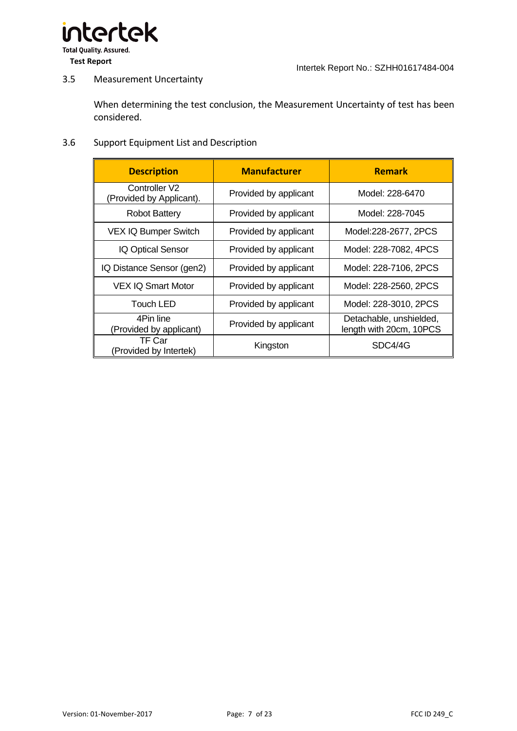

### 3.5 Measurement Uncertainty

<span id="page-7-0"></span>When determining the test conclusion, the Measurement Uncertainty of test has been considered.

#### 3.6 Support Equipment List and Description

<span id="page-7-1"></span>

| <b>Description</b>                        | <b>Manufacturer</b>   | <b>Remark</b>                                      |
|-------------------------------------------|-----------------------|----------------------------------------------------|
| Controller V2<br>(Provided by Applicant). | Provided by applicant | Model: 228-6470                                    |
| <b>Robot Battery</b>                      | Provided by applicant | Model: 228-7045                                    |
| <b>VEX IQ Bumper Switch</b>               | Provided by applicant | Model:228-2677, 2PCS                               |
| IQ Optical Sensor                         | Provided by applicant | Model: 228-7082, 4PCS                              |
| IQ Distance Sensor (gen2)                 | Provided by applicant | Model: 228-7106, 2PCS                              |
| <b>VEX IQ Smart Motor</b>                 | Provided by applicant | Model: 228-2560, 2PCS                              |
| Touch LED                                 | Provided by applicant | Model: 228-3010, 2PCS                              |
| 4Pin line<br>(Provided by applicant)      | Provided by applicant | Detachable, unshielded,<br>length with 20cm, 10PCS |
| TF Car<br>(Provided by Intertek)          | Kingston              | SDC4/4G                                            |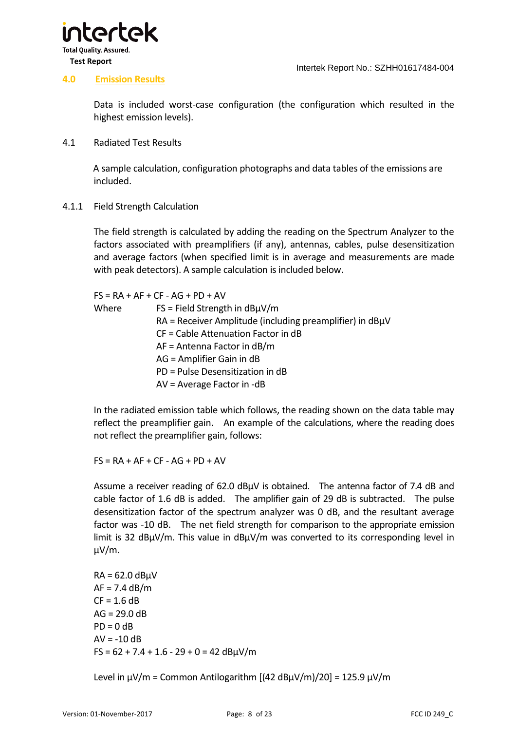



#### **4.0 Emission Results**

<span id="page-8-0"></span>Data is included worst-case configuration (the configuration which resulted in the highest emission levels).

4.1 Radiated Test Results

<span id="page-8-1"></span>A sample calculation, configuration photographs and data tables of the emissions are included.

4.1.1 Field Strength Calculation

<span id="page-8-2"></span>The field strength is calculated by adding the reading on the Spectrum Analyzer to the factors associated with preamplifiers (if any), antennas, cables, pulse desensitization and average factors (when specified limit is in average and measurements are made with peak detectors). A sample calculation is included below.

|       | $FS = RA + AF + CF - AG + PD + AV$                               |
|-------|------------------------------------------------------------------|
| Where | $FS = Field Strength in dB\mu V/m$                               |
|       | $RA$ = Receiver Amplitude (including preamplifier) in dB $\mu$ V |
|       | CF = Cable Attenuation Factor in dB                              |
|       | $AF = Antenna Factor$ in dB/m                                    |
|       | AG = Amplifier Gain in dB                                        |
|       | PD = Pulse Desensitization in dB                                 |
|       | $AV = Average Factor in -dB$                                     |

In the radiated emission table which follows, the reading shown on the data table may reflect the preamplifier gain. An example of the calculations, where the reading does not reflect the preamplifier gain, follows:

 $FS = RA + AF + CF - AG + PD + AV$ 

Assume a receiver reading of 62.0  $dB\mu$ V is obtained. The antenna factor of 7.4 dB and cable factor of 1.6 dB is added. The amplifier gain of 29 dB is subtracted. The pulse desensitization factor of the spectrum analyzer was 0 dB, and the resultant average factor was -10 dB. The net field strength for comparison to the appropriate emission limit is 32 dBµV/m. This value in dBµV/m was converted to its corresponding level in µV/m.

 $RA = 62.0$  dB $UV$  $AF = 7.4$  dB/m  $CF = 1.6 dB$  $AG = 29.0 dB$  $PD = 0$  dB  $AV = -10 dB$  $FS = 62 + 7.4 + 1.6 - 29 + 0 = 42$  dB $\mu$ V/m

Level in  $\mu$ V/m = Common Antilogarithm [(42 dB $\mu$ V/m)/20] = 125.9  $\mu$ V/m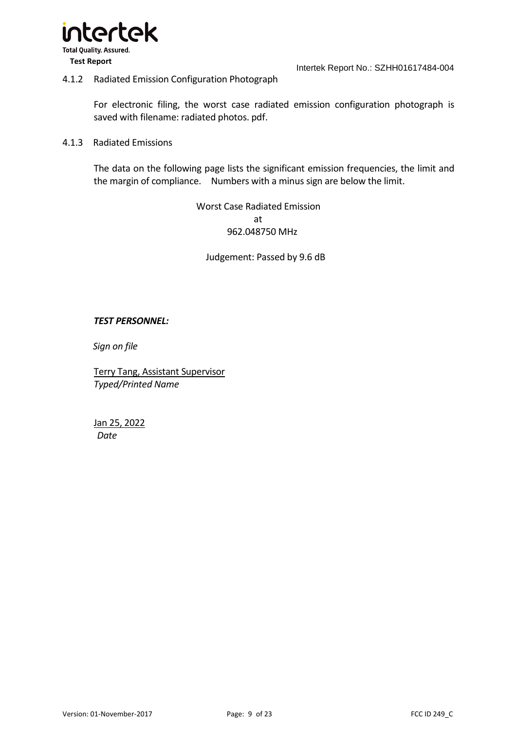

#### 4.1.2 Radiated Emission Configuration Photograph

For electronic filing, the worst case radiated emission configuration photograph is saved with filename: radiated photos. pdf.

#### 4.1.3 Radiated Emissions

The data on the following page lists the significant emission frequencies, the limit and the margin of compliance. Numbers with a minus sign are below the limit.

> <span id="page-9-1"></span><span id="page-9-0"></span>Worst Case Radiated Emission at 962.048750 MHz

Judgement: Passed by 9.6 dB

#### *TEST PERSONNEL:*

*Sign on file*

Terry Tang, Assistant Supervisor *Typed/Printed Name*

Jan 25, 2022 *Date*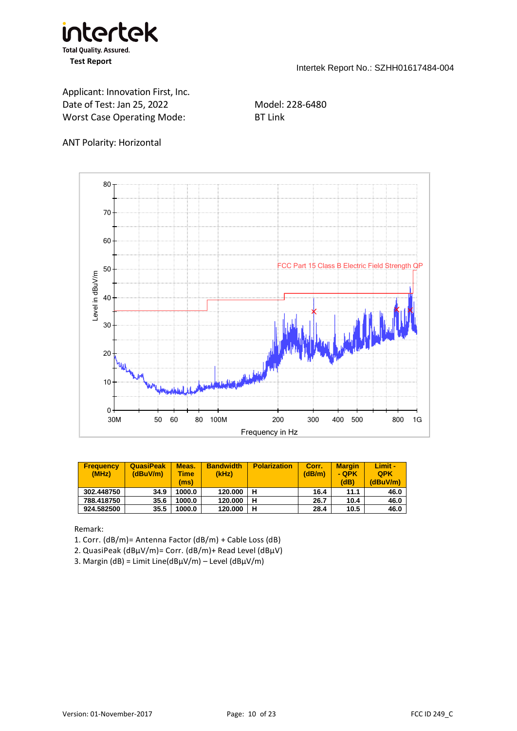

Applicant: Innovation First, Inc. Date of Test: Jan 25, 2022 Model: 228-6480 Worst Case Operating Mode: BT Link

#### ANT Polarity: Horizontal



| <b>Frequency</b><br>(MHz) | <b>QuasiPeak</b><br>(dBuV/m) | Meas.<br>Time<br>(ms) | <b>Bandwidth</b><br>(kHz) | <b>Polarization</b> | Corr.<br>(dB/m) | <b>Margin</b><br>- OPK<br>(dB) | Limit -<br><b>OPK</b><br>(dBuV/m) |
|---------------------------|------------------------------|-----------------------|---------------------------|---------------------|-----------------|--------------------------------|-----------------------------------|
| 302.448750                | 34.9                         | 1000.0                | 120.000                   | н                   | 16.4            | 11.1                           | 46.0                              |
| 788.418750                | 35.6                         | 1000.0                | 120.000                   | н                   | 26.7            | 10.4                           | 46.0                              |
| 924.582500                | 35.5                         | 1000.0                | 120.000                   | н                   | 28.4            | 10.5                           | 46.0                              |

Remark:

1. Corr. (dB/m)= Antenna Factor (dB/m) + Cable Loss (dB)

- 2. QuasiPeak (dBμV/m)= Corr. (dB/m)+ Read Level (dBμV)
- 3. Margin (dB) = Limit Line(dBμV/m) Level (dBμV/m)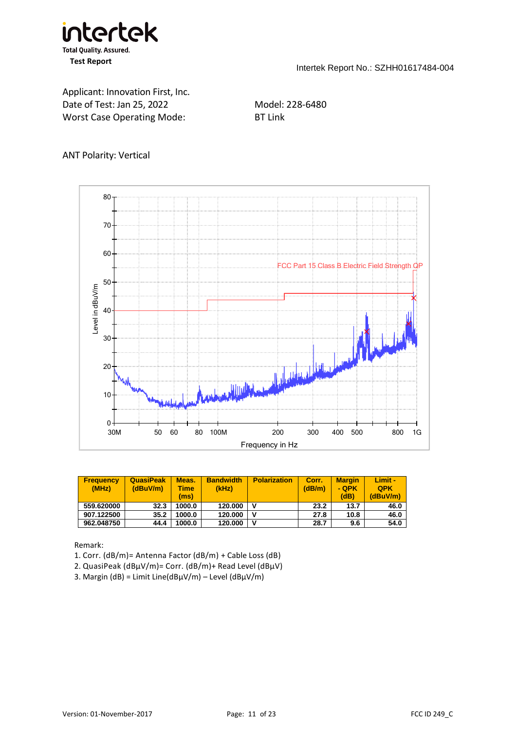

Applicant: Innovation First, Inc. Date of Test: Jan 25, 2022 Model: 228-6480 Worst Case Operating Mode: BT Link

### ANT Polarity: Vertical



| <b>Frequency</b><br>(MHz) | <b>QuasiPeak</b><br>(dBuV/m) | Meas.<br>Time<br>(ms) | <b>Bandwidth</b><br>(kHz) | <b>Polarization</b> | Corr.<br>(dB/m) | <b>Margin</b><br>- QPK<br>(dB) | Limit -<br><b>QPK</b><br>(dBuV/m) |
|---------------------------|------------------------------|-----------------------|---------------------------|---------------------|-----------------|--------------------------------|-----------------------------------|
| 559.620000                | 32.3                         | 1000.0                | 120.000                   |                     | 23.2            | 13.7                           | 46.0                              |
| 907.122500                | 35.2                         | 1000.0                | 120.000                   |                     | 27.8            | 10.8                           | 46.0                              |
| 962.048750                | 44.4                         | 1000.0                | 120.000                   | v                   | 28.7            | 9.6                            | 54.0                              |

Remark:

- 1. Corr. (dB/m)= Antenna Factor (dB/m) + Cable Loss (dB)
- 2. QuasiPeak (dBμV/m)= Corr. (dB/m)+ Read Level (dBμV)
- 3. Margin (dB) = Limit Line( $\frac{dB\mu V}{m}$  Level ( $\frac{dB\mu V}{m}$ )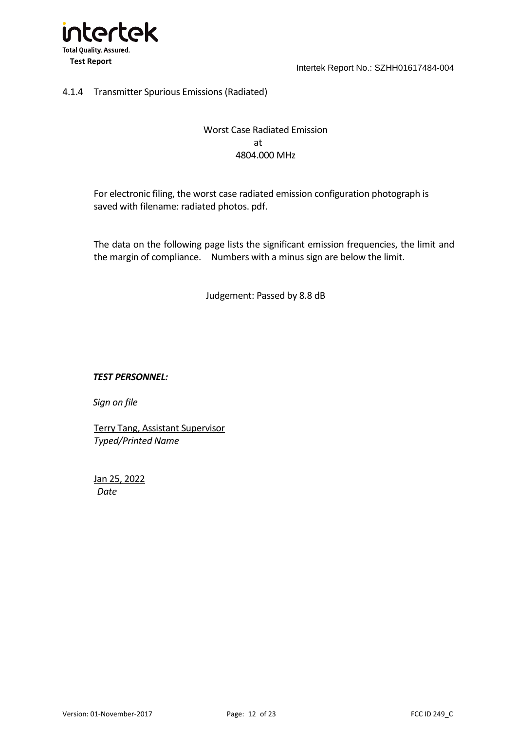

## 4.1.4 Transmitter Spurious Emissions (Radiated)

# <span id="page-12-0"></span>Worst Case Radiated Emission at 4804.000 MHz

For electronic filing, the worst case radiated emission configuration photograph is saved with filename: radiated photos. pdf.

The data on the following page lists the significant emission frequencies, the limit and the margin of compliance. Numbers with a minus sign are below the limit.

Judgement: Passed by 8.8 dB

#### *TEST PERSONNEL:*

*Sign on file*

Terry Tang, Assistant Supervisor *Typed/Printed Name*

Jan 25, 2022 *Date*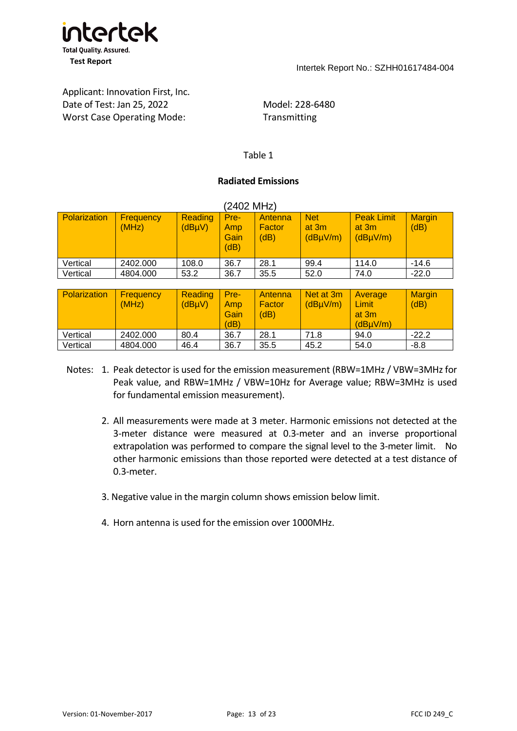

# Applicant: Innovation First, Inc. Date of Test: Jan 25, 2022 Model: 228-6480 Worst Case Operating Mode: Transmitting

#### Table 1

#### **Radiated Emissions**

| (2402 MHz)          |                           |                                       |                             |                           |                                                |                                                       |                       |  |  |  |
|---------------------|---------------------------|---------------------------------------|-----------------------------|---------------------------|------------------------------------------------|-------------------------------------------------------|-----------------------|--|--|--|
| <b>Polarization</b> | <b>Frequency</b><br>(MHz) | <b>Reading</b><br>(dB <sub>µ</sub> V) | Pre-<br>Amp<br>Gain<br>(dB) | Antenna<br>Factor<br>(dB) | <b>Net</b><br>at $3m$<br>(dB <sub>µ</sub> V/m) | <b>Peak Limit</b><br>at $3m$<br>(dB <sub>µ</sub> V/m) | <b>Margin</b><br>(dB) |  |  |  |
| Vertical            | 2402.000                  | 108.0                                 | 36.7                        | 28.1                      | 99.4                                           | 114.0                                                 | $-14.6$               |  |  |  |
| Vertical            | 4804.000                  | 53.2                                  | 36.7                        | 35.5                      | 52.0                                           | 74.0                                                  | $-22.0$               |  |  |  |

| <b>Polarization</b> | <b>Frequency</b><br>(MHz) | <b>Reading</b><br>(dB <sub>µ</sub> V) | Pre-<br>Amp<br>Gain<br>(dB) | Antenna<br>Factor<br>(dB) | Net at 3m<br>(dBµV/m) | Average<br>$\mathsf{Limit}$<br>at 3m<br>(dBuV/m) | <b>Margin</b><br>(dB) |
|---------------------|---------------------------|---------------------------------------|-----------------------------|---------------------------|-----------------------|--------------------------------------------------|-----------------------|
| Vertical            | 2402.000                  | 80.4                                  | 36.7                        | 28.1                      | 71.8                  | 94.0                                             | $-22.2$               |
| Vertical            | 4804.000                  | 46.4                                  | 36.7                        | 35.5                      | 45.2                  | 54.0                                             | $-8.8$                |

- Notes: 1. Peak detector is used for the emission measurement (RBW=1MHz / VBW=3MHz for Peak value, and RBW=1MHz / VBW=10Hz for Average value; RBW=3MHz is used for fundamental emission measurement).
	- 2. All measurements were made at 3 meter. Harmonic emissions not detected at the 3-meter distance were measured at 0.3-meter and an inverse proportional extrapolation was performed to compare the signal level to the 3-meter limit. No other harmonic emissions than those reported were detected at a test distance of 0.3-meter.
	- 3. Negative value in the margin column shows emission below limit.
	- 4. Horn antenna is used for the emission over 1000MHz.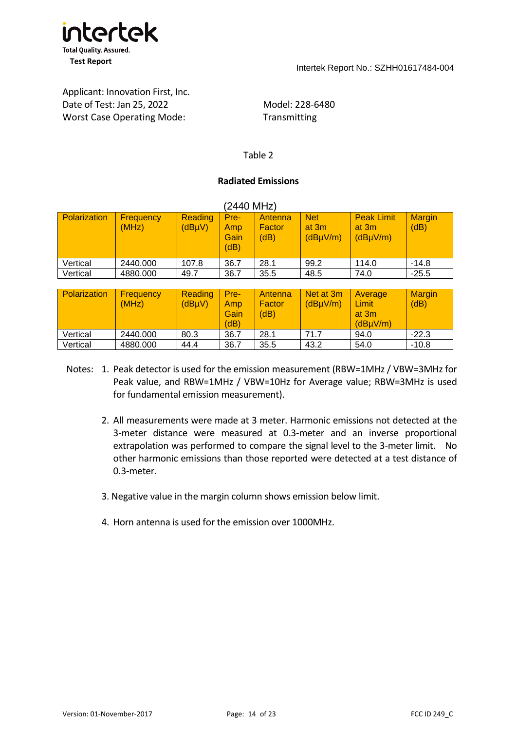

# Applicant: Innovation First, Inc. Date of Test: Jan 25, 2022 Model: 228-6480 Worst Case Operating Mode: Transmitting

#### Table 2

#### **Radiated Emissions**

| (2440 MHz)          |                    |                                       |                             |                           |                                   |                                                     |                       |  |  |  |
|---------------------|--------------------|---------------------------------------|-----------------------------|---------------------------|-----------------------------------|-----------------------------------------------------|-----------------------|--|--|--|
| <b>Polarization</b> | Frequency<br>(MHz) | <b>Reading</b><br>(dB <sub>µ</sub> V) | Pre-<br>Amp<br>Gain<br>(dB) | Antenna<br>Factor<br>(dB) | <b>Net</b><br>at $3m$<br>(dBµV/m) | <b>Peak Limit</b><br>at 3m<br>(dB <sub>µ</sub> V/m) | <b>Margin</b><br>(dB) |  |  |  |
| Vertical            | 2440.000           | 107.8                                 | 36.7                        | 28.1                      | 99.2                              | 114.0                                               | $-14.8$               |  |  |  |
| Vertical            | 4880,000           | 49.7                                  | 36.7                        | 35.5                      | 48.5                              | 74.0                                                | $-25.5$               |  |  |  |

| <b>Polarization</b> | <b>Frequency</b><br>(MHz) | <b>Reading</b><br>(dBµV) | Pre-<br>Amp<br>Gain<br>(dB) | Antenna<br>Factor<br>(dB) | Net at 3m<br>(dB <sub>µ</sub> V/m) | Average<br>Limit<br>at 3m<br>(dBuV/m) | <b>Margin</b><br>(dB) |
|---------------------|---------------------------|--------------------------|-----------------------------|---------------------------|------------------------------------|---------------------------------------|-----------------------|
| Vertical            | 2440.000                  | 80.3                     | 36.7                        | 28.1                      | 71.7                               | 94.0                                  | $-22.3$               |
| Vertical            | 4880,000                  | 44.4                     | 36.7                        | 35.5                      | 43.2                               | 54.0                                  | $-10.8$               |

- Notes: 1. Peak detector is used for the emission measurement (RBW=1MHz / VBW=3MHz for Peak value, and RBW=1MHz / VBW=10Hz for Average value; RBW=3MHz is used for fundamental emission measurement).
	- 2. All measurements were made at 3 meter. Harmonic emissions not detected at the 3-meter distance were measured at 0.3-meter and an inverse proportional extrapolation was performed to compare the signal level to the 3-meter limit. No other harmonic emissions than those reported were detected at a test distance of 0.3-meter.
	- 3. Negative value in the margin column shows emission below limit.
	- 4. Horn antenna is used for the emission over 1000MHz.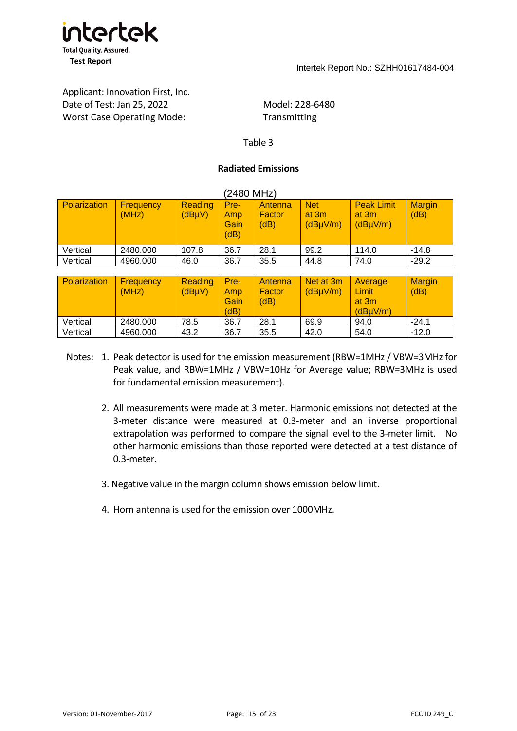

# Applicant: Innovation First, Inc. Date of Test: Jan 25, 2022 Model: 228-6480 Worst Case Operating Mode: Transmitting

#### Table 3

#### **Radiated Emissions**

(2480 MHz)

| <b>Polarization</b> | <b>Frequency</b><br>(MHz) | <b>Reading</b><br>(dBµV) | Pre-<br>Amp<br>Gain<br>(dB) | Antenna<br>Factor<br>(dB) | <b>Net</b><br>at 3m<br>(dBµV/m) | <b>Peak Limit</b><br>at 3m<br>(dByV/m)       | <b>Margin</b><br>(dB) |
|---------------------|---------------------------|--------------------------|-----------------------------|---------------------------|---------------------------------|----------------------------------------------|-----------------------|
| Vertical            | 2480.000                  | 107.8                    | 36.7                        | 28.1                      | 99.2                            | 114.0                                        | $-14.8$               |
| Vertical            | 4960.000                  | 46.0                     | 36.7                        | 35.5                      | 44.8                            | 74.0                                         | $-29.2$               |
|                     |                           |                          |                             |                           |                                 |                                              |                       |
| Polarization        | <b>Frequency</b><br>(MHz) | <b>Reading</b><br>(dBµV) | Pre-<br>Amp<br>Gain<br>(dB) | Antenna<br>Factor<br>(dB) | Net at 3m<br>$(dB\mu V/m)$      | <b>Average</b><br>Limit<br>at 3m<br>(dBµV/m) | <b>Margin</b><br>(dB) |
| Vertical            | 2480.000                  | 78.5                     | 36.7                        | 28.1                      | 69.9                            | 94.0                                         | $-24.1$               |
| Vertical            | 4960.000                  | 43.2                     | 36.7                        | 35.5                      | 42.0                            | 54.0                                         | $-12.0$               |

## Notes: 1. Peak detector is used for the emission measurement (RBW=1MHz / VBW=3MHz for Peak value, and RBW=1MHz / VBW=10Hz for Average value; RBW=3MHz is used for fundamental emission measurement).

- 2. All measurements were made at 3 meter. Harmonic emissions not detected at the 3-meter distance were measured at 0.3-meter and an inverse proportional extrapolation was performed to compare the signal level to the 3-meter limit. No other harmonic emissions than those reported were detected at a test distance of 0.3-meter.
- 3. Negative value in the margin column shows emission below limit.
- 4. Horn antenna is used for the emission over 1000MHz.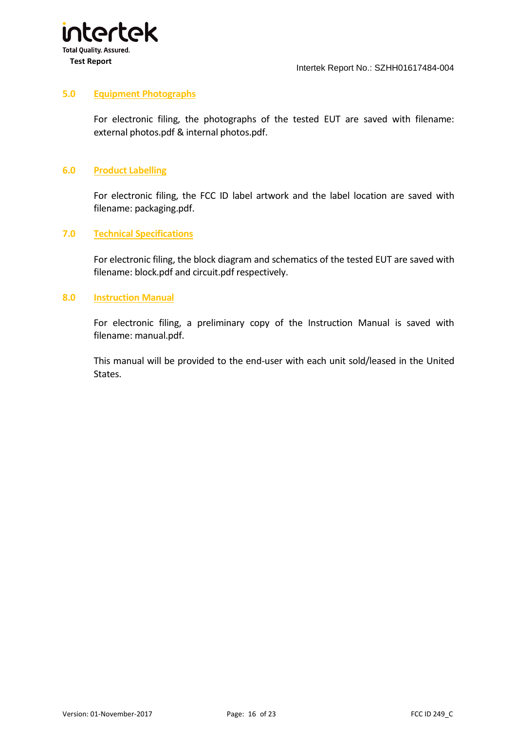

#### **5.0 Equipment Photographs**

<span id="page-16-0"></span>For electronic filing, the photographs of the tested EUT are saved with filename: external photos.pdf & internal photos.pdf.

#### **6.0 Product Labelling**

<span id="page-16-1"></span>For electronic filing, the FCC ID label artwork and the label location are saved with filename: packaging.pdf.

#### **7.0 Technical Specifications**

<span id="page-16-2"></span>For electronic filing, the block diagram and schematics of the tested EUT are saved with filename: block.pdf and circuit.pdf respectively.

#### **8.0 Instruction Manual**

<span id="page-16-3"></span>For electronic filing, a preliminary copy of the Instruction Manual is saved with filename: manual.pdf.

This manual will be provided to the end-user with each unit sold/leased in the United States.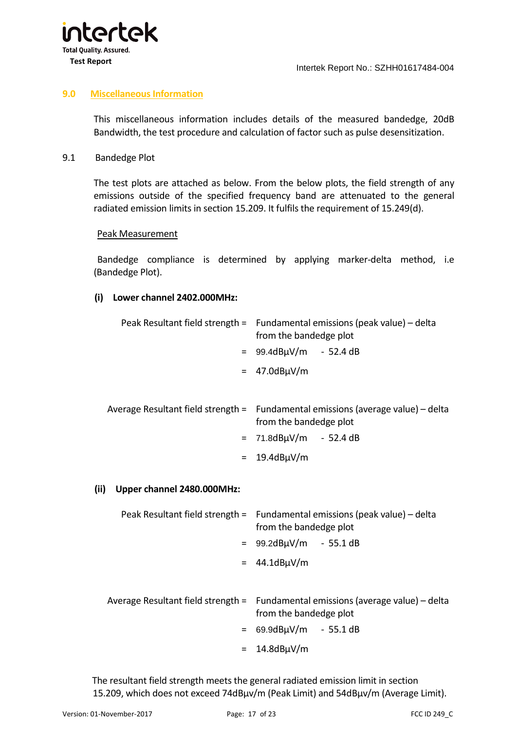

#### **9.0 Miscellaneous Information**

<span id="page-17-0"></span>This miscellaneous information includes details of the measured bandedge, 20dB Bandwidth, the test procedure and calculation of factor such as pulse desensitization.

#### 9.1 Bandedge Plot

<span id="page-17-1"></span>The test plots are attached as below. From the below plots, the field strength of any emissions outside of the specified frequency band are attenuated to the general radiated emission limits in section 15.209. It fulfils the requirement of 15.249(d).

#### Peak Measurement

 Bandedge compliance is determined by applying marker-delta method, i.e (Bandedge Plot).

#### **(i) Lower channel 2402.000MHz:**

| Peak Resultant field strength = Fundamental emissions (peak value) - delta<br>from the bandedge plot       |  |  |  |
|------------------------------------------------------------------------------------------------------------|--|--|--|
| $= 99.4dB\mu V/m - 52.4dB$                                                                                 |  |  |  |
| $=$ 47.0dB $\mu$ V/m                                                                                       |  |  |  |
| Average Resultant field strength = Fundamental emissions (average value) – delta<br>from the bandedge plot |  |  |  |
| $= 71.8dB\mu V/m - 52.4dB$                                                                                 |  |  |  |

 $= 19.4$ dB $\mu$ V/m

#### **(ii) Upper channel 2480.000MHz:**

| Peak Resultant field strength = Fundamental emissions (peak value) – delta<br>from the bandedge plot                                     |
|------------------------------------------------------------------------------------------------------------------------------------------|
| $= 99.2dB\mu V/m - 55.1dB$                                                                                                               |
| $= 44.1dB \mu V/m$                                                                                                                       |
| Average Resultant field strength = Fundamental emissions (average value) – delta<br>from the bandedge plot<br>$= 69.9dB\mu V/m - 55.1dB$ |

 $= 14.8$ dB $\mu$ V/m

 The resultant field strength meets the general radiated emission limit in section 15.209, which does not exceed 74dBµv/m (Peak Limit) and 54dBµv/m (Average Limit).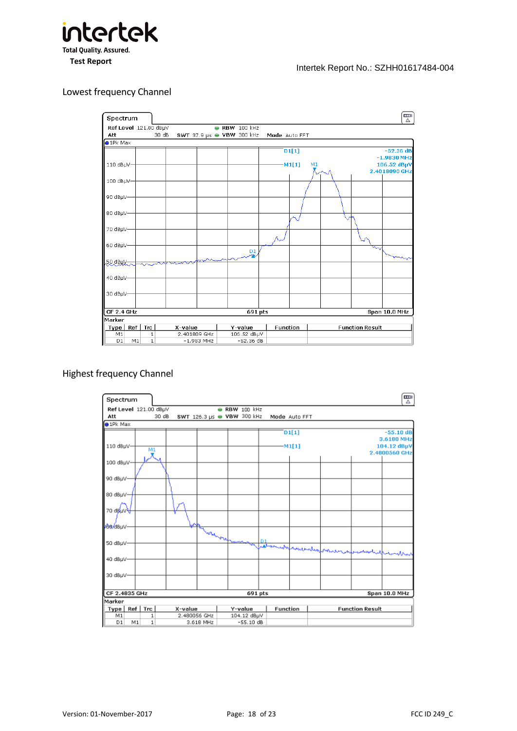

#### Lowest frequency Channel

僵 Spectrum Ref Level 121.00 dBµV • RBW 100 kHz SWT 37.9  $\mu s$   $\bullet$  VBW 300 kHz  $30dB$ Att Mode Auto FFT  $\bigcirc$  1Pk Max  $\overline{D1[1]}$  $-52.36dB$  $-1.9830$  MHz 106.52 dBµV  $110$  dB $\mu$ V  $M1[1]$  $M<sub>1</sub>$ 2.4018090 GHz 100 dBµV-90 dBµV-80 dBµV-ريد 70 dBµV 60 dBµV- $\frac{D1}{2}$ 创建的 40 dBµV 30 dBuV- $CF$  2.4 GHz  $691$  pts Span 10.0 MHz Marker Type | Ref | Trc | **Function Function Result** X-value<br>2.401809 GHz  $\frac{\mathsf{Y}\text{-}\mathsf{value}}{106.52~\mathsf{dB}\mathsf{y}\mathsf{V}}$  $M1$  $\frac{1}{1}$  $\overline{M1}$  $\overline{D1}$  $-1.983$  MHz  $-52.36dB$ 

#### Highest frequency Channel

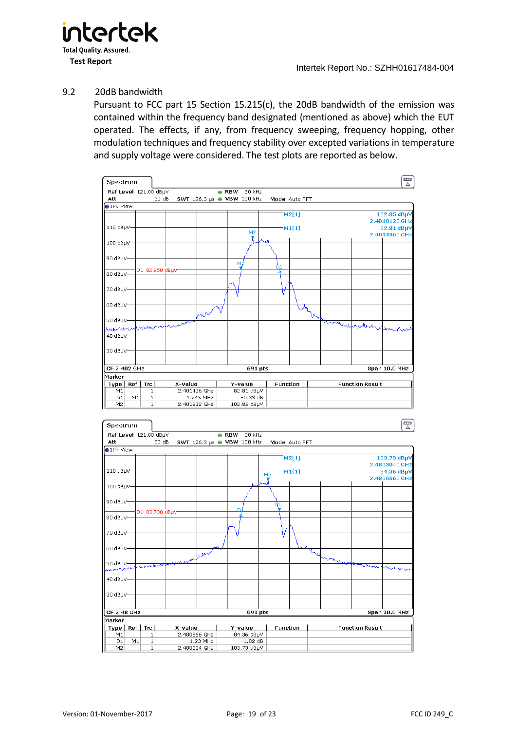

#### 9.2 20dB bandwidth

<span id="page-19-0"></span>Pursuant to FCC part 15 Section 15.215(c), the 20dB bandwidth of the emission was contained within the frequency band designated (mentioned as above) which the EUT operated. The effects, if any, from frequency sweeping, frequency hopping, other modulation techniques and frequency stability over excepted variations in temperature and supply voltage were considered. The test plots are reported as below.

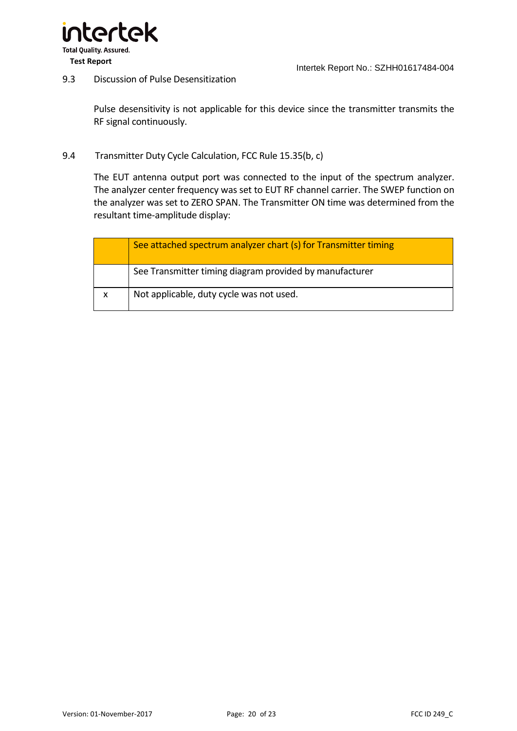

#### 9.3 Discussion of Pulse Desensitization

<span id="page-20-0"></span>Pulse desensitivity is not applicable for this device since the transmitter transmits the RF signal continuously.

#### 9.4 Transmitter Duty Cycle Calculation, FCC Rule 15.35(b, c)

<span id="page-20-1"></span>The EUT antenna output port was connected to the input of the spectrum analyzer. The analyzer center frequency was set to EUT RF channel carrier. The SWEP function on the analyzer was set to ZERO SPAN. The Transmitter ON time was determined from the resultant time-amplitude display:

|              | See attached spectrum analyzer chart (s) for Transmitter timing |
|--------------|-----------------------------------------------------------------|
|              | See Transmitter timing diagram provided by manufacturer         |
| $\mathsf{x}$ | Not applicable, duty cycle was not used.                        |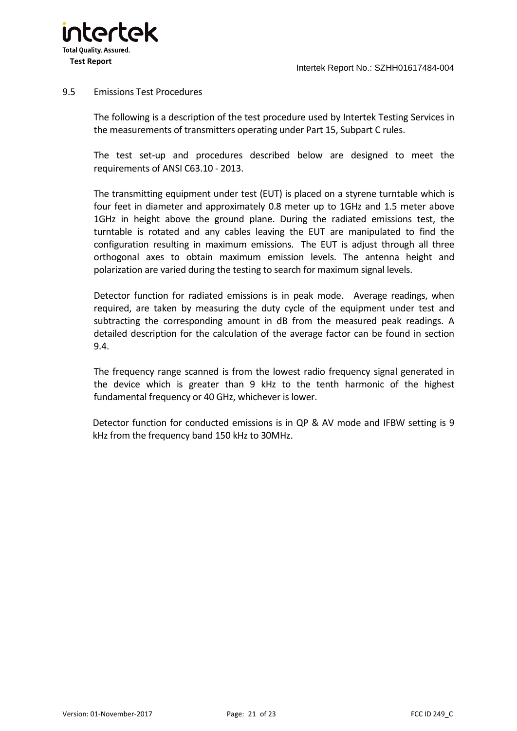

#### 9.5 Emissions Test Procedures

<span id="page-21-0"></span>The following is a description of the test procedure used by Intertek Testing Services in the measurements of transmitters operating under Part 15, Subpart C rules.

The test set-up and procedures described below are designed to meet the requirements of ANSI C63.10 - 2013.

The transmitting equipment under test (EUT) is placed on a styrene turntable which is four feet in diameter and approximately 0.8 meter up to 1GHz and 1.5 meter above 1GHz in height above the ground plane. During the radiated emissions test, the turntable is rotated and any cables leaving the EUT are manipulated to find the configuration resulting in maximum emissions. The EUT is adjust through all three orthogonal axes to obtain maximum emission levels. The antenna height and polarization are varied during the testing to search for maximum signal levels.

Detector function for radiated emissions is in peak mode. Average readings, when required, are taken by measuring the duty cycle of the equipment under test and subtracting the corresponding amount in dB from the measured peak readings. A detailed description for the calculation of the average factor can be found in section 9.4.

The frequency range scanned is from the lowest radio frequency signal generated in the device which is greater than 9 kHz to the tenth harmonic of the highest fundamental frequency or 40 GHz, whichever is lower.

Detector function for conducted emissions is in QP & AV mode and IFBW setting is 9 kHz from the frequency band 150 kHz to 30MHz.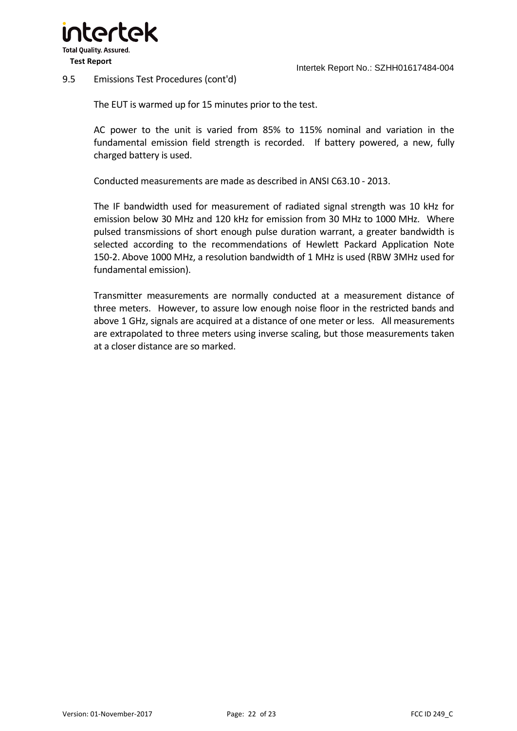

#### 9.5 Emissions Test Procedures (cont'd)

The EUT is warmed up for 15 minutes prior to the test.

AC power to the unit is varied from 85% to 115% nominal and variation in the fundamental emission field strength is recorded. If battery powered, a new, fully charged battery is used.

Conducted measurements are made as described in ANSI C63.10 - 2013.

The IF bandwidth used for measurement of radiated signal strength was 10 kHz for emission below 30 MHz and 120 kHz for emission from 30 MHz to 1000 MHz. Where pulsed transmissions of short enough pulse duration warrant, a greater bandwidth is selected according to the recommendations of Hewlett Packard Application Note 150-2. Above 1000 MHz, a resolution bandwidth of 1 MHz is used (RBW 3MHz used for fundamental emission).

Transmitter measurements are normally conducted at a measurement distance of three meters. However, to assure low enough noise floor in the restricted bands and above 1 GHz, signals are acquired at a distance of one meter or less. All measurements are extrapolated to three meters using inverse scaling, but those measurements taken at a closer distance are so marked.